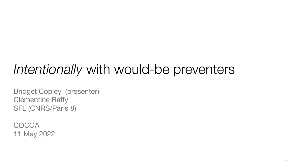# *Intentionally* with would-be preventers

Bridget Copley (presenter) Clémentine Raffy SFL (CNRS/Paris 8)

COCOA 11 May 2022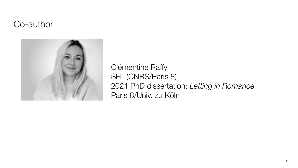## Co-author



2

Clémentine Raffy SFL (CNRS/Paris 8) 2021 PhD dissertation: *Letting in Romance* Paris 8/Univ. zu Köln

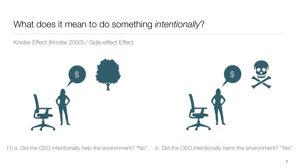# What does it mean to do something *intentionally*?

3

(1) a. Did the CEO intentionally *help* the environment? "No" b. Did the CEO intentionally *harm* the environment? "Yes"

#### Knobe Effect (Knobe 2003) / Side-effect Effect





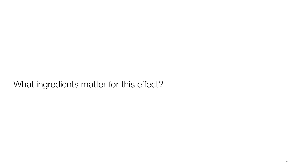# What ingredients matter for this effect?



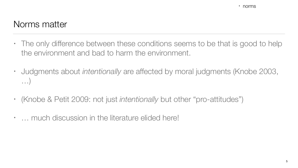# Norms matter

- the environment and bad to harm the environment.
- …)
- (Knobe & Petit 2009: not just *intentionally* but other "pro-attitudes")
- … much discussion in the literature elided here!

• The only difference between these conditions seems to be that is good to help

• Judgments about *intentionally* are affected by moral judgments (Knobe 2003,

5

• norms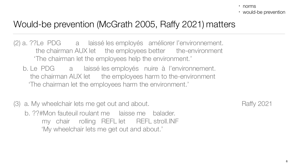# Would-be prevention (McGrath 2005, Raffy 2021) matters

- (2) a. ??Le PDG a laissé les employés améliorer l'environnement. the chairman AUX let the employees better the-environment 'The chairman let the employees help the environment.'
	- b. Le PDG a laissé les employés nuire à l'environnement. the chairman AUX let the employees harm to the-environment 'The chairman let the employees harm the environment.'
- (3) a. My wheelchair lets me get out and about. Raffy 2021 b. ??#Mon fauteuil roulant me laisse me balader. my chair rolling REFL let REFL stroll.INF 'My wheelchair lets me get out and about.'

- norms
- would-be prevention

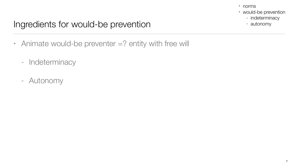# Ingredients for would-be prevention

- Animate would-be preventer =? entity with free will
	- Indeterminacy
	- Autonomy

- norms
- would-be prevention
	- indeterminacy
	- autonomy

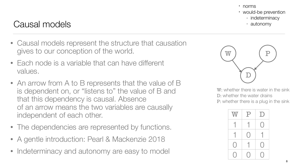# Causal models

- norms
- would-be prevention
	- indeterminacy
	- autonomy

- Causal models represent the structure that causation gives to our conception of the world.
- Each node is a variable that can have different values.
- An arrow from A to B represents that the value of B is dependent on, or "listens to" the value of B and that this dependency is causal. Absence of an arrow means the two variables are causally independent of each other.
- The dependencies are represented by functions.
- A gentle introduction: Pearl & Mackenzie 2018
- Indeterminacy and autonomy are easy to model

W: whether there is water in the sink D: whether the water drains P: whether there is a plug in the sink







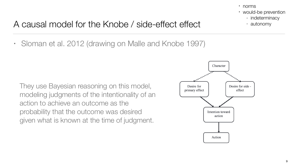# A causal model for the Knobe / side-effect effect

• Sloman et al. 2012 (drawing on Malle and Knobe 1997)



- norms
- would-be prevention
	- indeterminacy
	- autonomy





They use Bayesian reasoning on this model, modeling judgments of the intentionality of an action to achieve an outcome as the probability that the outcome was desired given what is known at the time of judgment.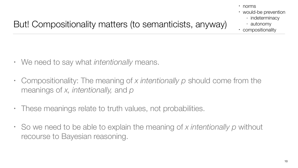# But! Compositionality matters (to semanticists, anyway)

- We need to say what *intentionally* means.
- Compositionality: The meaning of *x intentionally p* should come from the meanings of *x, intentionally,* and *p*
- These meanings relate to truth values, not probabilities.
- So we need to be able to explain the meaning of *x intentionally p* without recourse to Bayesian reasoning.

- norms
- would-be prevention
	- indeterminacy
	- autonomy
- compositionality

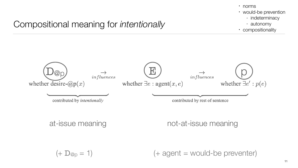# Compositional meaning for *intentionally*



contributed by intentionally



contributed by rest of sentence

#### at-issue meaning not-at-issue meaning

 $(+$  D<sub>@p</sub> = 1)  $(+$  agent = would-be preventer)



- norms
- would-be prevention
	- indeterminacy
	- autonomy
- compositionality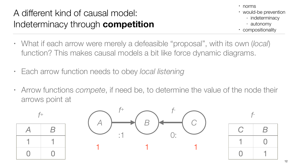# A different kind of causal model: Indeterminacy through **competition**

- What if each arrow were merely a defeasible "proposal", with its own (*local*) function? This makes causal models a bit like force dynamic diagrams.
- Each arrow function needs to obey *local listening*
- Arrow functions *compete*, if need be, to determine the value of the node their arrows point at





- norms
- would-be prevention
	- indeterminacy
	- autonomy
- compositionality

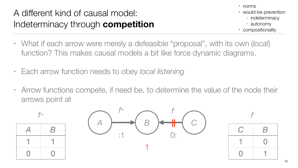# A different kind of causal model: Indeterminacy through **competition**

- What if each arrow were merely a defeasible "proposal", with its own (*local*) function? This makes causal models a bit like force dynamic diagrams.
- Each arrow function needs to obey *local listening*
- Arrow functions compete, if need be, to determine the value of the node their arrows point at





- norms
- would-be prevention
	- indeterminacy
	- autonomy
- compositionality

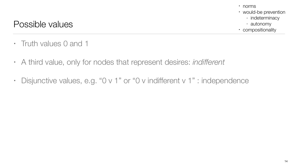## Possible values

- Truth values 0 and 1
- A third value, only for nodes that represent desires: *indifferent*
- Disjunctive values, e.g. "0 v 1" or "0 v indifferent v 1" : independence

- norms
- would-be prevention
	- indeterminacy
	- autonomy
- compositionality

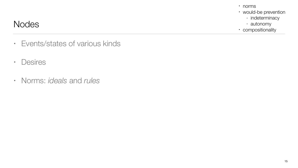## Nodes

- Events/states of various kinds
- Desires
- Norms: *ideals* and *rules*

- norms
- would-be prevention
	- indeterminacy
	- autonomy
- compositionality

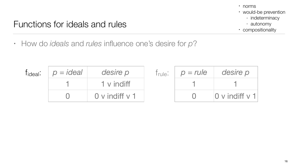# Functions for ideals and rules

• How do *ideals* and *rules* influence one's desire for *p*?



| Trule: | $p = rule$ | desire p       |
|--------|------------|----------------|
|        |            |                |
|        |            | 0 v indiff y 1 |



| f <sub>ideal</sub> : | $p = ideal$ | desire p       | le. |
|----------------------|-------------|----------------|-----|
|                      |             | 1 v indiff     |     |
|                      |             | 0 v indiff y 1 |     |

- norms
- would-be prevention
	- indeterminacy
	- autonomy
- compositionality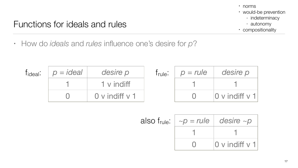# Functions for ideals and rules

• How do *ideals* and *rules* influence one's desire for *p*?

| Tideal: | $p = ideal$ | desire p       | $\mathsf{true}$ : | $p = rule$ | desire p              |
|---------|-------------|----------------|-------------------|------------|-----------------------|
|         |             | 1 v indiff     |                   |            |                       |
|         |             | 0 v indiff v 1 |                   |            | $ 0$ v indiff v 1 $ $ |

| also f <sub>rule</sub> : $\sim p = rule$ desire $\sim p$ |                             |
|----------------------------------------------------------|-----------------------------|
|                                                          |                             |
|                                                          | $ 0 \vee  $ indiff $\vee$ 1 |



- norms
- would-be prevention
	- indeterminacy
	- autonomy
- compositionality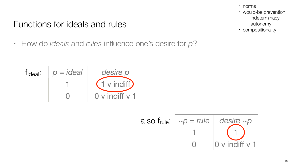# Functions for ideals and rules

• How do *ideals* and *rules* influence one's desire for *p*?











- norms
- would-be prevention
	- indeterminacy
	- autonomy
- compositionality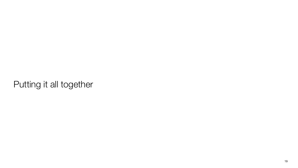# Putting it all together



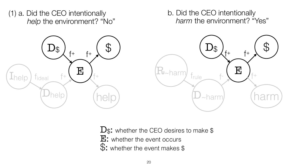D<sub>\$</sub>: whether the CEO desires to make \$ E: whether the event occurs \$: whether the event makes \$

### (1) a. Did the CEO intentionally *help* the environment? "No"





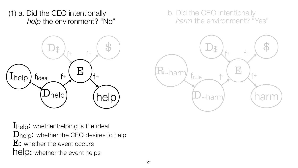Ihelp: whether helping is the ideal Dhelp: whether the CEO desires to help E: whether the event occurs help: whether the event helps



### (1) a. Did the CEO intentionally *help* the environment? "No"



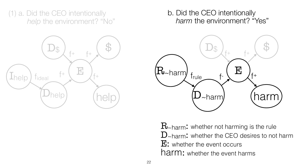D~harm: whether the CEO desires to not harm E: whether the event occurs harm: whether the event harms





#### (1) a. Did the CEO intentionally *help* the environment? "No"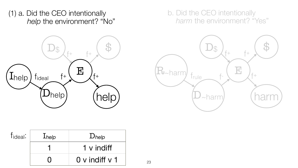





| f <sub>ideal</sub> : | Inelp | Dhelp          |
|----------------------|-------|----------------|
|                      |       | 1 v indiff     |
|                      |       | 0 v indiff y 1 |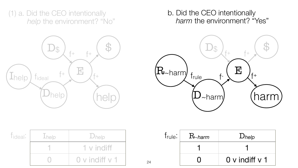

### b. Did the CEO intentionally *harm* the environment? "Yes"

| eal i | <b>Lhelp</b> | $D$ help       |
|-------|--------------|----------------|
|       |              | 1 v indiff     |
|       |              | 0 v indiff y 1 |

T<sub>id</sub>





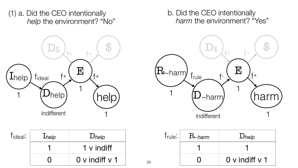### b. Did the CEO intentionally *harm* the environment? "Yes"







1 1

0 0 v indiff v 1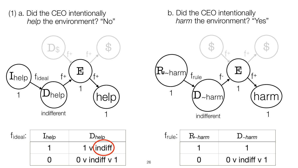### b. Did the CEO intentionally *harm* the environment? "Yes"





0 0 v indiff v 1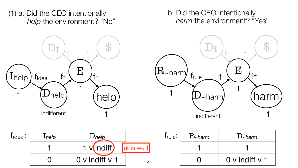

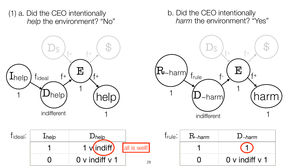

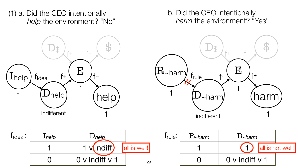

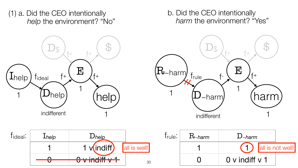

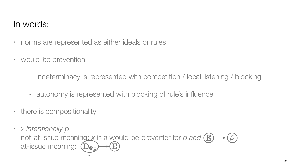# In words:

- norms are represented as either ideals or rules
- would-be prevention
	-
	- autonomy is represented with blocking of rule's influence
- there is compositionality
- *x intentionally p*  not-at-issue meaning: *x* is a would-be preventer for *p* and  $(E) \rightarrow (p)$ at-issue meaning:  $(D_{@p}) \rightarrow E$

### - indeterminacy is represented with competition / local listening / blocking



31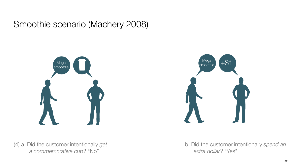# Smoothie scenario (Machery 2008)







(4) a. Did the customer intentionally *get* b. Did the customer intentionally *spend an* 



*a commemorative cup*? "No" *extra dollar*? "Yes"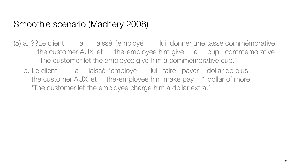# Smoothie scenario (Machery 2008)

(5) a. ??Le client a laissé l'employé lui donner une tasse commémorative. the customer AUX let the-employee him give a cup commemorative

the customer AUX let the-employee him make pay 1 dollar of more

- 'The customer let the employee give him a commemorative cup.'
	- b. Le client a laissé l'employé lui faire payer 1 dollar de plus. 'The customer let the employee charge him a dollar extra.'

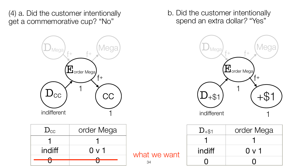### (4) a. Did the customer intentionally get a commemorative cup? "No"



### b. Did the customer intentionally spend an extra dollar*?* "Yes"

| $D_{\rm CC}$ | order Mega |
|--------------|------------|
|              |            |
| indiff       | $0 \vee 1$ |
|              |            |
|              |            |

what we want

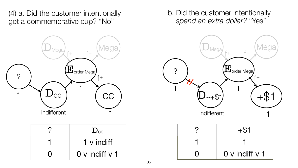#### (4) a. Did the customer intentionally get a commemorative cup? "No"

### b. Did the customer intentionally *spend an extra dollar?* "Yes"



| $D_{\rm CC}$   |
|----------------|
| 1 v indiff     |
| 0 v indiff y 1 |

| $+ $1$         |
|----------------|
|                |
| 0 v indiff v 1 |

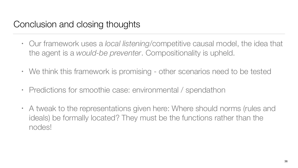# Conclusion and closing thoughts

• Our framework uses a *local listening*/competitive causal model, the idea that

• We think this framework is promising - other scenarios need to be tested

- the agent is a *would-be preventer*. Compositionality is upheld.
- 
- Predictions for smoothie case: environmental / spendathon
- nodes!

• A tweak to the representations given here: Where should norms (rules and ideals) be formally located? They must be the functions rather than the



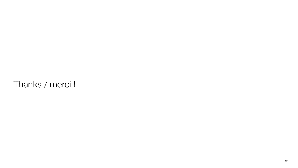# Thanks / merci !